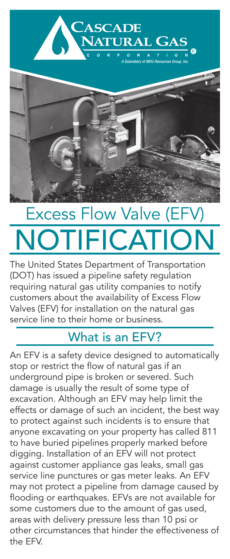



# Excess Flow Valve (EFV) **NOTIFICATIO**

The United States Department of Transportation (DOT) has issued a pipeline safety regulation requiring natural gas utility companies to notify customers about the availability of Excess Flow Valves (EFV) for installation on the natural gas service line to their home or business.

### What is an EFV?

An EFV is a safety device designed to automatically stop or restrict the flow of natural gas if an underground pipe is broken or severed. Such damage is usually the result of some type of excavation. Although an EFV may help limit the effects or damage of such an incident, the best way to protect against such incidents is to ensure that anyone excavating on your property has called 811 to have buried pipelines properly marked before digging. Installation of an EFV will not protect against customer appliance gas leaks, small gas service line punctures or gas meter leaks. An EFV may not protect a pipeline from damage caused by flooding or earthquakes. EFVs are not available for some customers due to the amount of gas used, areas with delivery pressure less than 10 psi or other circumstances that hinder the effectiveness of the EFV.